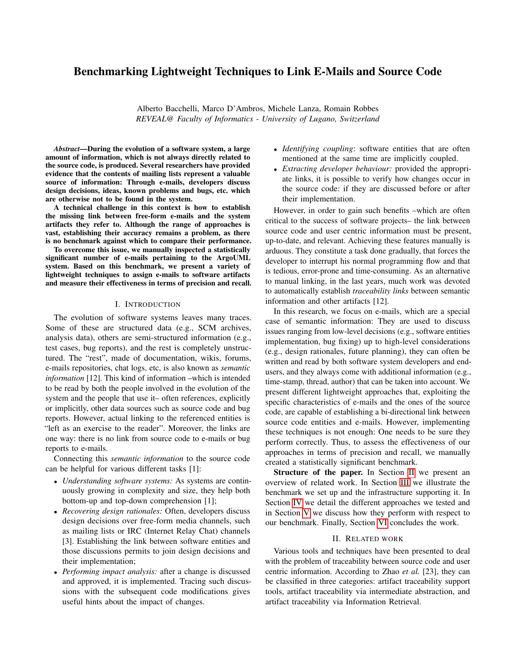# Benchmarking Lightweight Techniques to Link E-Mails and Source Code

Alberto Bacchelli, Marco D'Ambros, Michele Lanza, Romain Robbes *REVEAL@ Faculty of Informatics - University of Lugano, Switzerland*

*Abstract*—During the evolution of a software system, a large amount of information, which is not always directly related to the source code, is produced. Several researchers have provided evidence that the contents of mailing lists represent a valuable source of information: Through e-mails, developers discuss design decisions, ideas, known problems and bugs, etc. which are otherwise not to be found in the system.

A technical challenge in this context is how to establish the missing link between free-form e-mails and the system artifacts they refer to. Although the range of approaches is vast, establishing their accuracy remains a problem, as there is no benchmark against which to compare their performance.

To overcome this issue, we manually inspected a statistically significant number of e-mails pertaining to the ArgoUML system. Based on this benchmark, we present a variety of lightweight techniques to assign e-mails to software artifacts and measure their effectiveness in terms of precision and recall.

## I. INTRODUCTION

The evolution of software systems leaves many traces. Some of these are structured data (e.g., SCM archives, analysis data), others are semi-structured information (e.g., test cases, bug reports), and the rest is completely unstructured. The "rest", made of documentation, wikis, forums, e-mails repositories, chat logs, etc, is also known as *semantic information* [12]. This kind of information –which is intended to be read by both the people involved in the evolution of the system and the people that use it– often references, explicitly or implicitly, other data sources such as source code and bug reports. However, actual linking to the referenced entities is "left as an exercise to the reader". Moreover, the links are one way: there is no link from source code to e-mails or bug reports to e-mails.

Connecting this *semantic information* to the source code can be helpful for various different tasks [1]:

- *Understanding software systems:* As systems are continuously growing in complexity and size, they help both bottom-up and top-down comprehension [1];
- *Recovering design rationales:* Often, developers discuss design decisions over free-form media channels, such as mailing lists or IRC (Internet Relay Chat) channels [3]. Establishing the link between software entities and those discussions permits to join design decisions and their implementation;
- *Performing impact analysis:* after a change is discussed and approved, it is implemented. Tracing such discussions with the subsequent code modifications gives useful hints about the impact of changes.
- *Identifying coupling*: software entities that are often mentioned at the same time are implicitly coupled.
- *Extracting developer behaviour:* provided the appropriate links, it is possible to verify how changes occur in the source code: if they are discussed before or after their implementation.

However, in order to gain such benefits –which are often critical to the success of software projects– the link between source code and user centric information must be present, up-to-date, and relevant. Achieving these features manually is arduous. They constitute a task done gradually, that forces the developer to interrupt his normal programming flow and that is tedious, error-prone and time-consuming. As an alternative to manual linking, in the last years, much work was devoted to automatically establish *traceability links* between semantic information and other artifacts [12].

In this research, we focus on e-mails, which are a special case of semantic information: They are used to discuss issues ranging from low-level decisions (e.g., software entities implementation, bug fixing) up to high-level considerations (e.g., design rationales, future planning), they can often be written and read by both software system developers and endusers, and they always come with additional information (e.g., time-stamp, thread, author) that can be taken into account. We present different lightweight approaches that, exploiting the specific characteristics of e-mails and the ones of the source code, are capable of establishing a bi-directional link between source code entities and e-mails. However, implementing these techniques is not enough: One needs to be sure they perform correctly. Thus, to assess the effectiveness of our approaches in terms of precision and recall, we manually created a statistically significant benchmark.

Structure of the paper. In Section [II](#page-0-0) we present an overview of related work. In Section [III](#page-1-0) we illustrate the benchmark we set up and the infrastructure supporting it. In Section [IV](#page-4-0) we detail the different approaches we tested and in Section [V](#page-8-0) we discuss how they perform with respect to our benchmark. Finally, Section [VI](#page-8-1) concludes the work.

## II. RELATED WORK

<span id="page-0-0"></span>Various tools and techniques have been presented to deal with the problem of traceability between source code and user centric information. According to Zhao *et al.* [23], they can be classified in three categories: artifact traceability support tools, artifact traceability via intermediate abstraction, and artifact traceability via Information Retrieval.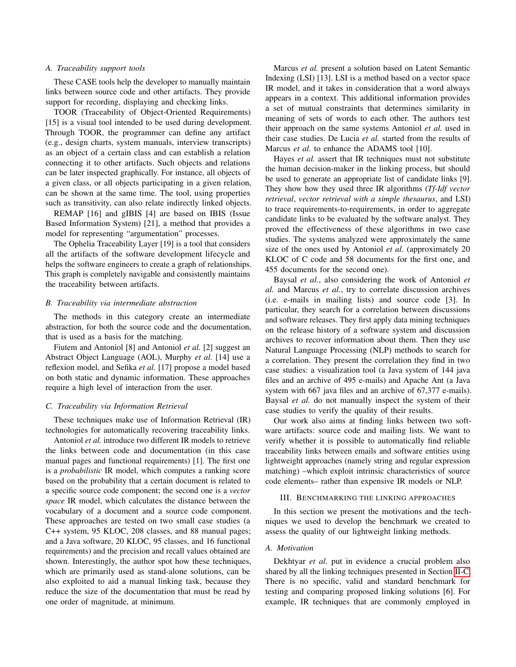## *A. Traceability support tools*

These CASE tools help the developer to manually maintain links between source code and other artifacts. They provide support for recording, displaying and checking links.

TOOR (Traceability of Object-Oriented Requirements) [15] is a visual tool intended to be used during development. Through TOOR, the programmer can define any artifact (e.g., design charts, system manuals, interview transcripts) as an object of a certain class and can establish a relation connecting it to other artifacts. Such objects and relations can be later inspected graphically. For instance, all objects of a given class, or all objects participating in a given relation, can be shown at the same time. The tool, using properties such as transitivity, can also relate indirectly linked objects.

REMAP [16] and gIBIS [4] are based on IBIS (Issue Based Information System) [21], a method that provides a model for representing "argumentation" processes.

The Ophelia Traceability Layer [19] is a tool that considers all the artifacts of the software development lifecycle and helps the software engineers to create a graph of relationships. This graph is completely navigable and consistently maintains the traceability between artifacts.

### *B. Traceability via intermediate abstraction*

The methods in this category create an intermediate abstraction, for both the source code and the documentation, that is used as a basis for the matching.

Fiutem and Antoniol [8] and Antoniol *et al.* [2] suggest an Abstract Object Language (AOL), Murphy *et al.* [14] use a reflexion model, and Sefika *et al.* [17] propose a model based on both static and dynamic information. These approaches require a high level of interaction from the user.

## <span id="page-1-1"></span>*C. Traceability via Information Retrieval*

These techniques make use of Information Retrieval (IR) technologies for automatically recovering traceability links.

Antoniol *et al.* introduce two different IR models to retrieve the links between code and documentation (in this case manual pages and functional requirements) [1]. The first one is a *probabilistic* IR model, which computes a ranking score based on the probability that a certain document is related to a specific source code component; the second one is a *vector space* IR model, which calculates the distance between the vocabulary of a document and a source code component. These approaches are tested on two small case studies (a C++ system, 95 KLOC, 208 classes, and 88 manual pages; and a Java software, 20 KLOC, 95 classes, and 16 functional requirements) and the precision and recall values obtained are shown. Interestingly, the author spot how these techniques, which are primarily used as stand-alone solutions, can be also exploited to aid a manual linking task, because they reduce the size of the documentation that must be read by one order of magnitude, at minimum.

Marcus *et al.* present a solution based on Latent Semantic Indexing (LSI) [13]. LSI is a method based on a vector space IR model, and it takes in consideration that a word always appears in a context. This additional information provides a set of mutual constraints that determines similarity in meaning of sets of words to each other. The authors test their approach on the same systems Antoniol *et al.* used in their case studies. De Lucia *et al.* started from the results of Marcus *et al.* to enhance the ADAMS tool [10].

Hayes *et al.* assert that IR techniques must not substitute the human decision-maker in the linking process, but should be used to generate an appropriate list of candidate links [9]. They show how they used three IR algorithms (*Tf-Idf vector retrieval*, *vector retrieval with a simple thesaurus*, and LSI) to trace requirements-to-requirements, in order to aggregate candidate links to be evaluated by the software analyst. They proved the effectiveness of these algorithms in two case studies. The systems analyzed were approximately the same size of the ones used by Antoniol *et al.* (approximately 20 KLOC of C code and 58 documents for the first one, and 455 documents for the second one).

Baysal *et al.*, also considering the work of Antoniol *et al.* and Marcus *et al.*, try to correlate discussion archives (i.e. e-mails in mailing lists) and source code [3]. In particular, they search for a correlation between discussions and software releases. They first apply data mining techniques on the release history of a software system and discussion archives to recover information about them. Then they use Natural Language Processing (NLP) methods to search for a correlation. They present the correlation they find in two case studies: a visualization tool (a Java system of 144 java files and an archive of 495 e-mails) and Apache Ant (a Java system with 667 java files and an archive of 67,377 e-mails). Baysal *et al.* do not manually inspect the system of their case studies to verify the quality of their results.

Our work also aims at finding links between two software artifacts: source code and mailing lists. We want to verify whether it is possible to automatically find reliable traceability links between emails and software entities using lightweight approaches (namely string and regular expression matching) –which exploit intrinsic characteristics of source code elements– rather than expensive IR models or NLP.

#### <span id="page-1-0"></span>III. BENCHMARKING THE LINKING APPROACHES

In this section we present the motivations and the techniques we used to develop the benchmark we created to assess the quality of our lightweight linking methods.

## *A. Motivation*

Dekhtyar *et al.* put in evidence a crucial problem also shared by all the linking techniques presented in Section [II-C:](#page-1-1) There is no specific, valid and standard benchmark for testing and comparing proposed linking solutions [6]. For example, IR techniques that are commonly employed in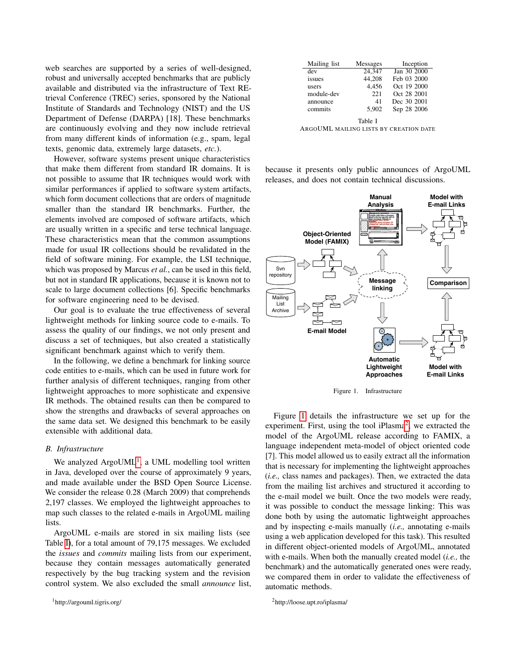web searches are supported by a series of well-designed, robust and universally accepted benchmarks that are publicly available and distributed via the infrastructure of Text REtrieval Conference (TREC) series, sponsored by the National Institute of Standards and Technology (NIST) and the US Department of Defense (DARPA) [18]. These benchmarks are continuously evolving and they now include retrieval from many different kinds of information (e.g., spam, legal texts, genomic data, extremely large datasets, *etc.*).

However, software systems present unique characteristics that make them different from standard IR domains. It is not possible to assume that IR techniques would work with similar performances if applied to software system artifacts, which form document collections that are orders of magnitude smaller than the standard IR benchmarks. Further, the elements involved are composed of software artifacts, which are usually written in a specific and terse technical language. These characteristics mean that the common assumptions made for usual IR collections should be revalidated in the field of software mining. For example, the LSI technique, which was proposed by Marcus *et al.*, can be used in this field, but not in standard IR applications, because it is known not to scale to large document collections [6]. Specific benchmarks for software engineering need to be devised.

Our goal is to evaluate the true effectiveness of several lightweight methods for linking source code to e-mails. To assess the quality of our findings, we not only present and discuss a set of techniques, but also created a statistically significant benchmark against which to verify them.

In the following, we define a benchmark for linking source code entities to e-mails, which can be used in future work for further analysis of different techniques, ranging from other lightweight approaches to more sophisticate and expensive IR methods. The obtained results can then be compared to show the strengths and drawbacks of several approaches on the same data set. We designed this benchmark to be easily extensible with additional data.

## *B. Infrastructure*

We analyzed  $ArgOUML<sup>1</sup>$  $ArgOUML<sup>1</sup>$  $ArgOUML<sup>1</sup>$ , a UML modelling tool written in Java, developed over the course of approximately 9 years, and made available under the BSD Open Source License. We consider the release 0.28 (March 2009) that comprehends 2,197 classes. We employed the lightweight approaches to map such classes to the related e-mails in ArgoUML mailing lists.

<span id="page-2-0"></span>ArgoUML e-mails are stored in six mailing lists (see Table [I\)](#page-2-1), for a total amount of 79,175 messages. We excluded the *issues* and *commits* mailing lists from our experiment, because they contain messages automatically generated respectively by the bug tracking system and the revision control system. We also excluded the small *announce* list,

| Mailing list                           | Messages | Inception   |  |
|----------------------------------------|----------|-------------|--|
| dev                                    | 24.347   | Jan 30 2000 |  |
| issues                                 | 44.208   | Feb 03 2000 |  |
| users                                  | 4.456    | Oct 19 2000 |  |
| module-dev                             | 22.1     | Oct 28 2001 |  |
| announce                               | 41       | Dec 30 2001 |  |
| commits                                | 5.902    | Sep 28 2006 |  |
|                                        | Table I  |             |  |
| ARGOUML MAILING LISTS BY CREATION DATE |          |             |  |

<span id="page-2-1"></span>because it presents only public announces of ArgoUML releases, and does not contain technical discussions.



<span id="page-2-2"></span>Figure 1. Infrastructure

Figure [1](#page-2-2) details the infrastructure we set up for the experiment. First, using the tool iPlasma<sup>[2](#page-2-3)</sup>, we extracted the model of the ArgoUML release according to FAMIX, a language independent meta-model of object oriented code [7]. This model allowed us to easily extract all the information that is necessary for implementing the lightweight approaches (*i.e.,* class names and packages). Then, we extracted the data from the mailing list archives and structured it according to the e-mail model we built. Once the two models were ready, it was possible to conduct the message linking: This was done both by using the automatic lightweight approaches and by inspecting e-mails manually (*i.e.,* annotating e-mails using a web application developed for this task). This resulted in different object-oriented models of ArgoUML, annotated with e-mails. When both the manually created model (*i.e.,* the benchmark) and the automatically generated ones were ready, we compared them in order to validate the effectiveness of automatic methods.

<span id="page-2-3"></span><sup>2</sup>http://loose.upt.ro/iplasma/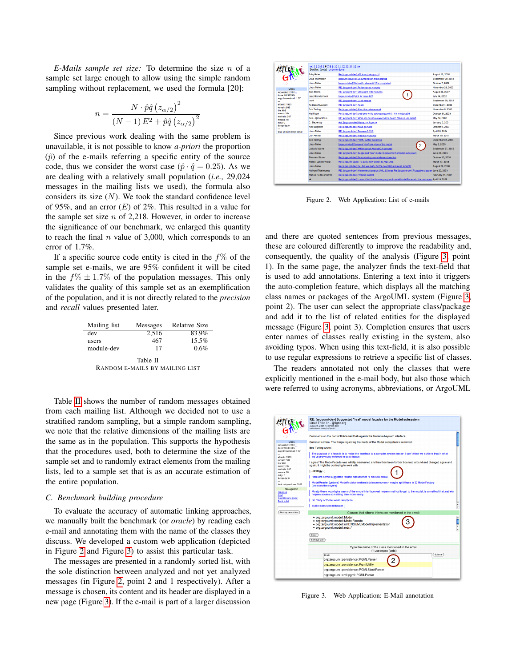*E-Mails sample set size:* To determine the size n of a sample set large enough to allow using the simple random sampling without replacement, we used the formula [20]:

$$
n = \frac{N \cdot \hat{p}\hat{q} (z_{\alpha/2})^2}{(N-1) E^2 + \hat{p}\hat{q} (z_{\alpha/2})^2}
$$

Since previous work dealing with the same problem is unavailable, it is not possible to know *a-priori* the proportion  $(p)$  of the e-mails referring a specific entity of the source code, thus we consider the worst case  $(\hat{p} \cdot \hat{q} = 0.25)$ . As we are dealing with a relatively small population (*i.e.,* 29,024 messages in the mailing lists we used), the formula also considers its size  $(N)$ . We took the standard confidence level of 95%, and an error  $(E)$  of 2%. This resulted in a value for the sample set size  $n$  of 2,218. However, in order to increase the significance of our benchmark, we enlarged this quantity to reach the final  $n$  value of 3,000, which corresponds to an error of 1.7%.

If a specific source code entity is cited in the  $f\%$  of the sample set e-mails, we are 95% confident it will be cited in the  $f\% \pm 1.7\%$  of the population messages. This only validates the quality of this sample set as an exemplification of the population, and it is not directly related to the *precision* and *recall* values presented later.

| Mailing list                   | <b>Messages</b> | <b>Relative Size</b> |  |  |
|--------------------------------|-----------------|----------------------|--|--|
| dev                            | 2,516           | 83.9%                |  |  |
| users                          | 467             | 15.5%                |  |  |
| module-dev                     | 17              | 0.6%                 |  |  |
| Table II                       |                 |                      |  |  |
| RANDOM E-MAILS BY MAILING LIST |                 |                      |  |  |

<span id="page-3-0"></span>Table [II](#page-3-0) shows the number of random messages obtained from each mailing list. Although we decided not to use a stratified random sampling, but a simple random sampling, we note that the relative dimensions of the mailing lists are the same as in the population. This supports the hypothesis that the procedures used, both to determine the size of the sample set and to randomly extract elements from the mailing lists, led to a sample set that is as an accurate estimation of the entire population.

## *C. Benchmark building procedure*

To evaluate the accuracy of automatic linking approaches, we manually built the benchmark (or *oracle*) by reading each e-mail and annotating them with the name of the classes they discuss. We developed a custom web application (depicted in Figure [2](#page-3-1) and Figure [3\)](#page-3-2) to assist this particular task.

The messages are presented in a randomly sorted list, with the sole distinction between analyzed and not yet analyzed messages (in Figure [2,](#page-3-1) point 2 and 1 respectively). After a message is chosen, its content and its header are displayed in a new page (Figure [3\)](#page-3-2). If the e-mail is part of a larger discussion



<span id="page-3-1"></span>Figure 2. Web Application: List of e-mails

and there are quoted sentences from previous messages, these are coloured differently to improve the readability and, consequently, the quality of the analysis (Figure [3,](#page-3-2) point 1). In the same page, the analyzer finds the text-field that is used to add annotations. Entering a text into it triggers the auto-completion feature, which displays all the matching class names or packages of the ArgoUML system (Figure [3,](#page-3-2) point 2). The user can select the appropriate class/package and add it to the list of related entities for the displayed message (Figure [3,](#page-3-2) point 3). Completion ensures that users enter names of classes really existing in the system, also avoiding typos. When using this text-field, it is also possible to use regular expressions to retrieve a specific list of classes.

The readers annotated not only the classes that were explicitly mentioned in the e-mail body, but also those which were referred to using acronyms, abbreviations, or ArgoUML



<span id="page-3-2"></span>Figure 3. Web Application: E-Mail annotation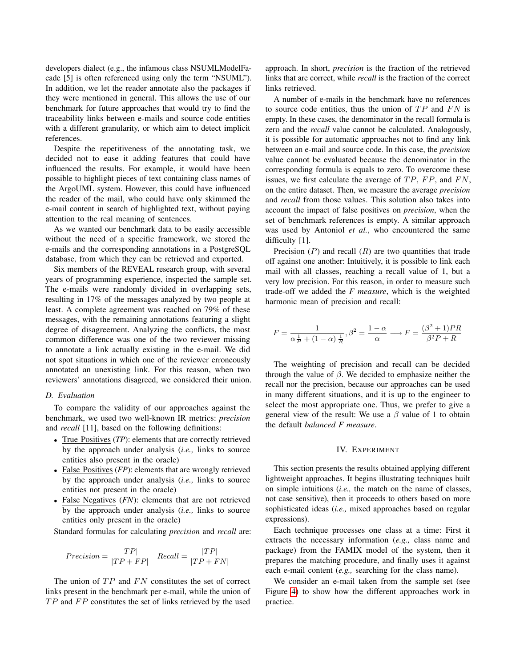developers dialect (e.g., the infamous class NSUMLModelFacade [5] is often referenced using only the term "NSUML"). In addition, we let the reader annotate also the packages if they were mentioned in general. This allows the use of our benchmark for future approaches that would try to find the traceability links between e-mails and source code entities with a different granularity, or which aim to detect implicit references.

Despite the repetitiveness of the annotating task, we decided not to ease it adding features that could have influenced the results. For example, it would have been possible to highlight pieces of text containing class names of the ArgoUML system. However, this could have influenced the reader of the mail, who could have only skimmed the e-mail content in search of highlighted text, without paying attention to the real meaning of sentences.

As we wanted our benchmark data to be easily accessible without the need of a specific framework, we stored the e-mails and the corresponding annotations in a PostgreSQL database, from which they can be retrieved and exported.

Six members of the REVEAL research group, with several years of programming experience, inspected the sample set. The e-mails were randomly divided in overlapping sets, resulting in 17% of the messages analyzed by two people at least. A complete agreement was reached on 79% of these messages, with the remaining annotations featuring a slight degree of disagreement. Analyzing the conflicts, the most common difference was one of the two reviewer missing to annotate a link actually existing in the e-mail. We did not spot situations in which one of the reviewer erroneously annotated an unexisting link. For this reason, when two reviewers' annotations disagreed, we considered their union.

## *D. Evaluation*

To compare the validity of our approaches against the benchmark, we used two well-known IR metrics: *precision* and *recall* [11], based on the following definitions:

- True Positives (*TP*): elements that are correctly retrieved by the approach under analysis (*i.e.,* links to source entities also present in the oracle)
- False Positives (*FP*): elements that are wrongly retrieved by the approach under analysis (*i.e.,* links to source entities not present in the oracle)
- False Negatives (*FN*): elements that are not retrieved by the approach under analysis (*i.e.,* links to source entities only present in the oracle)

Standard formulas for calculating *precision* and *recall* are:

$$
Precision = \frac{|TP|}{|TP + FP|} \quad Recall = \frac{|TP|}{|TP + FN|}
$$

The union of  $TP$  and  $FN$  constitutes the set of correct links present in the benchmark per e-mail, while the union of  $TP$  and  $FP$  constitutes the set of links retrieved by the used approach. In short, *precision* is the fraction of the retrieved links that are correct, while *recall* is the fraction of the correct links retrieved.

A number of e-mails in the benchmark have no references to source code entities, thus the union of  $TP$  and  $FN$  is empty. In these cases, the denominator in the recall formula is zero and the *recall* value cannot be calculated. Analogously, it is possible for automatic approaches not to find any link between an e-mail and source code. In this case, the *precision* value cannot be evaluated because the denominator in the corresponding formula is equals to zero. To overcome these issues, we first calculate the average of  $TP$ ,  $FP$ , and  $FN$ , on the entire dataset. Then, we measure the average *precision* and *recall* from those values. This solution also takes into account the impact of false positives on *precision*, when the set of benchmark references is empty. A similar approach was used by Antoniol *et al.*, who encountered the same difficulty [1].

Precision  $(P)$  and recall  $(R)$  are two quantities that trade off against one another: Intuitively, it is possible to link each mail with all classes, reaching a recall value of 1, but a very low precision. For this reason, in order to measure such trade-off we added the *F measure*, which is the weighted harmonic mean of precision and recall:

$$
F = \frac{1}{\alpha \frac{1}{P} + (1 - \alpha) \frac{1}{R}}, \beta^2 = \frac{1 - \alpha}{\alpha} \longrightarrow F = \frac{(\beta^2 + 1)PR}{\beta^2 P + R}
$$

The weighting of precision and recall can be decided through the value of  $β$ . We decided to emphasize neither the recall nor the precision, because our approaches can be used in many different situations, and it is up to the engineer to select the most appropriate one. Thus, we prefer to give a general view of the result: We use a  $\beta$  value of 1 to obtain the default *balanced F measure*.

## IV. EXPERIMENT

<span id="page-4-0"></span>This section presents the results obtained applying different lightweight approaches. It begins illustrating techniques built on simple intuitions (*i.e.,* the match on the name of classes, not case sensitive), then it proceeds to others based on more sophisticated ideas (*i.e.,* mixed approaches based on regular expressions).

Each technique processes one class at a time: First it extracts the necessary information (*e.g.,* class name and package) from the FAMIX model of the system, then it prepares the matching procedure, and finally uses it against each e-mail content (*e.g.,* searching for the class name).

We consider an e-mail taken from the sample set (see Figure [4\)](#page-5-0) to show how the different approaches work in practice.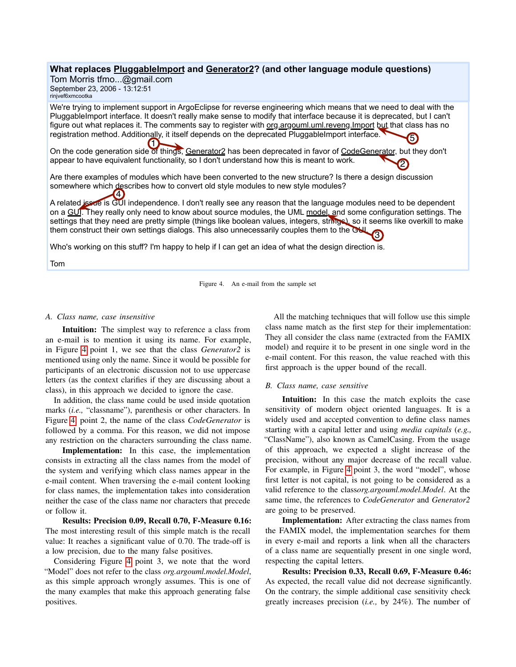## **What replaces PluggableImport and Generator2? (and other language module questions)**

Tom Morris tfmo...@gmail.com September 23, 2006 - 13:12:51 rinjvef6xmcootka

We're trying to implement support in ArgoEclipse for reverse engineering which means that we need to deal with the PluggableImport interface. It doesn't really make sense to modify that interface because it is deprecated, but I can't figure out what replaces it. The comments say to register with org.argouml.uml.reveng.Import but that class has no registration method. Additionally, it itself depends on the deprecated PluggableImport interface.

On the code generation side of things, Generator2 has been deprecated in favor of CodeGenerator, but they don't appear to have equivalent functionality, so I don't understand how this is meant to work. 2

Are there examples of modules which have been converted to the new structure? Is there a design discussion somewhere which describes how to convert old style modules to new style modules? 4

A related *issue* is GUI independence. I don't really see any reason that the language modules need to be dependent on a GUI. They really only need to know about source modules, the UML model, and some configuration settings. The settings that they need are pretty simple (things like boolean values, integers, strings), so it seems like overkill to make them construct their own settings dialogs. This also unnecessarily couples them to the GUI. 3

Who's working on this stuff? I'm happy to help if I can get an idea of what the design direction is.

Tom

<span id="page-5-0"></span>Figure 4. An e-mail from the sample set

## <span id="page-5-2"></span>*A. Class name, case insensitive*

Intuition: The simplest way to reference a class from an e-mail is to mention it using its name. For example, in Figure [4](#page-5-0) point 1, we see that the class *Generator2* is mentioned using only the name. Since it would be possible for participants of an electronic discussion not to use uppercase letters (as the context clarifies if they are discussing about a class), in this approach we decided to ignore the case.

In addition, the class name could be used inside quotation marks (*i.e.,* "classname"), parenthesis or other characters. In Figure [4,](#page-5-0) point 2, the name of the class *CodeGenerator* is followed by a comma. For this reason, we did not impose any restriction on the characters surrounding the class name.

Implementation: In this case, the implementation consists in extracting all the class names from the model of the system and verifying which class names appear in the e-mail content. When traversing the e-mail content looking for class names, the implementation takes into consideration neither the case of the class name nor characters that precede or follow it.

Results: Precision 0.09, Recall 0.70, F-Measure 0.16: The most interesting result of this simple match is the recall value: It reaches a significant value of 0.70. The trade-off is a low precision, due to the many false positives.

Considering Figure [4](#page-5-0) point 3, we note that the word "Model" does not refer to the class *org.argouml.model.Model*, as this simple approach wrongly assumes. This is one of the many examples that make this approach generating false positives.

All the matching techniques that will follow use this simple class name match as the first step for their implementation: They all consider the class name (extracted from the FAMIX model) and require it to be present in one single word in the e-mail content. For this reason, the value reached with this first approach is the upper bound of the recall.

## <span id="page-5-1"></span>*B. Class name, case sensitive*

Intuition: In this case the match exploits the case sensitivity of modern object oriented languages. It is a widely used and accepted convention to define class names starting with a capital letter and using *media capitals* (*e.g.,* "ClassName"), also known as CamelCasing. From the usage of this approach, we expected a slight increase of the precision, without any major decrease of the recall value. For example, in Figure [4](#page-5-0) point 3, the word "model", whose first letter is not capital, is not going to be considered as a valid reference to the class*org.argouml.model.Model*. At the same time, the references to *CodeGenerator* and *Generator2* are going to be preserved.

Implementation: After extracting the class names from the FAMIX model, the implementation searches for them in every e-mail and reports a link when all the characters of a class name are sequentially present in one single word, respecting the capital letters.

Results: Precision 0.33, Recall 0.69, F-Measure 0.46: As expected, the recall value did not decrease significantly. On the contrary, the simple additional case sensitivity check greatly increases precision (*i.e.,* by 24%). The number of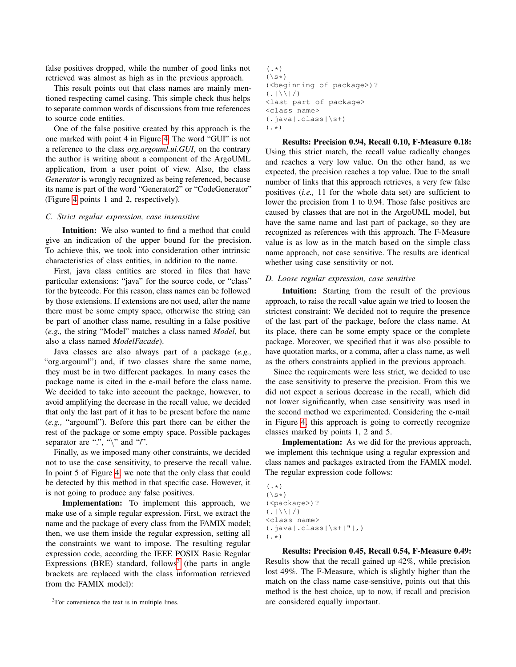false positives dropped, while the number of good links not retrieved was almost as high as in the previous approach.

This result points out that class names are mainly mentioned respecting camel casing. This simple check thus helps to separate common words of discussions from true references to source code entities.

One of the false positive created by this approach is the one marked with point 4 in Figure [4.](#page-5-0) The word "GUI" is not a reference to the class *org.argouml.ui.GUI*, on the contrary the author is writing about a component of the ArgoUML application, from a user point of view. Also, the class *Generator* is wrongly recognized as being referenced, because its name is part of the word "Generator2" or "CodeGenerator" (Figure [4](#page-5-0) points 1 and 2, respectively).

### <span id="page-6-1"></span>*C. Strict regular expression, case insensitive*

Intuition: We also wanted to find a method that could give an indication of the upper bound for the precision. To achieve this, we took into consideration other intrinsic characteristics of class entities, in addition to the name.

First, java class entities are stored in files that have particular extensions: "java" for the source code, or "class" for the bytecode. For this reason, class names can be followed by those extensions. If extensions are not used, after the name there must be some empty space, otherwise the string can be part of another class name, resulting in a false positive (*e.g.,* the string "Model" matches a class named *Model*, but also a class named *ModelFacade*).

Java classes are also always part of a package (*e.g.,* "org.argouml") and, if two classes share the same name, they must be in two different packages. In many cases the package name is cited in the e-mail before the class name. We decided to take into account the package, however, to avoid amplifying the decrease in the recall value, we decided that only the last part of it has to be present before the name (*e.g.,* "argouml"). Before this part there can be either the rest of the package or some empty space. Possible packages separator are ".", " $\langle$ " and "/".

Finally, as we imposed many other constraints, we decided not to use the case sensitivity, to preserve the recall value. In point 5 of Figure [4,](#page-5-0) we note that the only class that could be detected by this method in that specific case. However, it is not going to produce any false positives.

Implementation: To implement this approach, we make use of a simple regular expression. First, we extract the name and the package of every class from the FAMIX model; then, we use them inside the regular expression, setting all the constraints we want to impose. The resulting regular expression code, according the IEEE POSIX Basic Regular Expressions (BRE) standard, follows<sup>[3](#page-6-0)</sup> (the parts in angle brackets are replaced with the class information retrieved from the FAMIX model):

```
(. \star)
(\setminus s*)(<beginning of package>)?
(.|\Upsilon\Upsilon|/)<last part of package>
<class name>
(.java|.class|\s+)
(\cdot, *)
```
Results: Precision 0.94, Recall 0.10, F-Measure 0.18: Using this strict match, the recall value radically changes and reaches a very low value. On the other hand, as we expected, the precision reaches a top value. Due to the small number of links that this approach retrieves, a very few false positives (*i.e.,* 11 for the whole data set) are sufficient to lower the precision from 1 to 0.94. Those false positives are caused by classes that are not in the ArgoUML model, but have the same name and last part of package, so they are recognized as references with this approach. The F-Measure value is as low as in the match based on the simple class name approach, not case sensitive. The results are identical whether using case sensitivity or not.

## *D. Loose regular expression, case sensitive*

Intuition: Starting from the result of the previous approach, to raise the recall value again we tried to loosen the strictest constraint: We decided not to require the presence of the last part of the package, before the class name. At its place, there can be some empty space or the complete package. Moreover, we specified that it was also possible to have quotation marks, or a comma, after a class name, as well as the others constraints applied in the previous approach.

Since the requirements were less strict, we decided to use the case sensitivity to preserve the precision. From this we did not expect a serious decrease in the recall, which did not lower significantly, when case sensitivity was used in the second method we experimented. Considering the e-mail in Figure [4,](#page-5-0) this approach is going to correctly recognize classes marked by points 1, 2 and 5.

Implementation: As we did for the previous approach, we implement this technique using a regular expression and class names and packages extracted from the FAMIX model. The regular expression code follows:

```
( . * )(\setminus s*)(<package>)?
(.|\n\|\n\|\n/|)<class name>
(.java|.class|\s+|"|,)( \Box \star )
```
Results: Precision 0.45, Recall 0.54, F-Measure 0.49: Results show that the recall gained up 42%, while precision lost 49%. The F-Measure, which is slightly higher than the match on the class name case-sensitive, points out that this method is the best choice, up to now, if recall and precision are considered equally important.

<span id="page-6-0"></span><sup>&</sup>lt;sup>3</sup>For convenience the text is in multiple lines.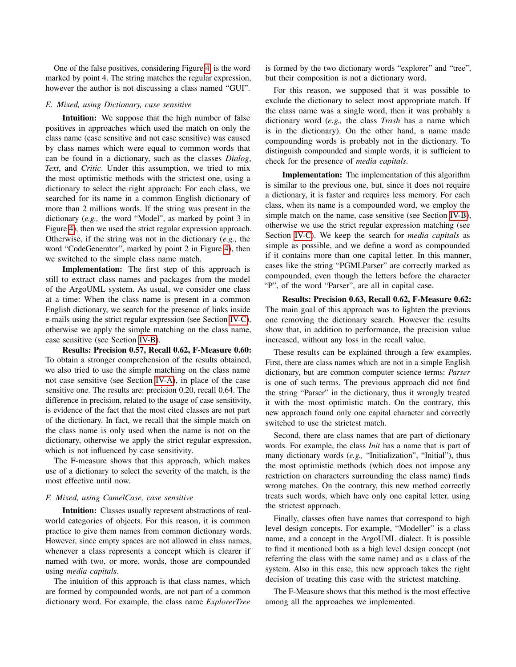One of the false positives, considering Figure [4,](#page-5-0) is the word marked by point 4. The string matches the regular expression, however the author is not discussing a class named "GUI".

## *E. Mixed, using Dictionary, case sensitive*

Intuition: We suppose that the high number of false positives in approaches which used the match on only the class name (case sensitive and not case sensitive) was caused by class names which were equal to common words that can be found in a dictionary, such as the classes *Dialog*, *Text*, and *Critic*. Under this assumption, we tried to mix the most optimistic methods with the strictest one, using a dictionary to select the right approach: For each class, we searched for its name in a common English dictionary of more than 2 millions words. If the string was present in the dictionary (*e.g.,* the word "Model", as marked by point 3 in Figure [4\)](#page-5-0), then we used the strict regular expression approach. Otherwise, if the string was not in the dictionary (*e.g.,* the word "CodeGenerator", marked by point 2 in Figure [4\)](#page-5-0), then we switched to the simple class name match.

Implementation: The first step of this approach is still to extract class names and packages from the model of the ArgoUML system. As usual, we consider one class at a time: When the class name is present in a common English dictionary, we search for the presence of links inside e-mails using the strict regular expression (see Section [IV-C\)](#page-6-1), otherwise we apply the simple matching on the class name, case sensitive (see Section [IV-B\)](#page-5-1).

Results: Precision 0.57, Recall 0.62, F-Measure 0.60: To obtain a stronger comprehension of the results obtained, we also tried to use the simple matching on the class name not case sensitive (see Section [IV-A\)](#page-5-2), in place of the case sensitive one. The results are: precision 0.20, recall 0.64. The difference in precision, related to the usage of case sensitivity, is evidence of the fact that the most cited classes are not part of the dictionary. In fact, we recall that the simple match on the class name is only used when the name is not on the dictionary, otherwise we apply the strict regular expression, which is not influenced by case sensitivity.

The F-measure shows that this approach, which makes use of a dictionary to select the severity of the match, is the most effective until now.

### *F. Mixed, using CamelCase, case sensitive*

Intuition: Classes usually represent abstractions of realworld categories of objects. For this reason, it is common practice to give them names from common dictionary words. However, since empty spaces are not allowed in class names, whenever a class represents a concept which is clearer if named with two, or more, words, those are compounded using *media capitals*.

The intuition of this approach is that class names, which are formed by compounded words, are not part of a common dictionary word. For example, the class name *ExplorerTree* is formed by the two dictionary words "explorer" and "tree", but their composition is not a dictionary word.

For this reason, we supposed that it was possible to exclude the dictionary to select most appropriate match. If the class name was a single word, then it was probably a dictionary word (*e.g.,* the class *Trash* has a name which is in the dictionary). On the other hand, a name made compounding words is probably not in the dictionary. To distinguish compounded and simple words, it is sufficient to check for the presence of *media capitals*.

Implementation: The implementation of this algorithm is similar to the previous one, but, since it does not require a dictionary, it is faster and requires less memory. For each class, when its name is a compounded word, we employ the simple match on the name, case sensitive (see Section [IV-B\)](#page-5-1), otherwise we use the strict regular expression matching (see Section [IV-C\)](#page-6-1). We keep the search for *media capitals* as simple as possible, and we define a word as compounded if it contains more than one capital letter. In this manner, cases like the string "PGMLParser" are correctly marked as compounded, even though the letters before the character "P", of the word "Parser", are all in capital case.

Results: Precision 0.63, Recall 0.62, F-Measure 0.62: The main goal of this approach was to lighten the previous one removing the dictionary search. However the results show that, in addition to performance, the precision value increased, without any loss in the recall value.

These results can be explained through a few examples. First, there are class names which are not in a simple English dictionary, but are common computer science terms: *Parser* is one of such terms. The previous approach did not find the string "Parser" in the dictionary, thus it wrongly treated it with the most optimistic match. On the contrary, this new approach found only one capital character and correctly switched to use the strictest match.

Second, there are class names that are part of dictionary words. For example, the class *Init* has a name that is part of many dictionary words (*e.g.,* "Initialization", "Initial"), thus the most optimistic methods (which does not impose any restriction on characters surrounding the class name) finds wrong matches. On the contrary, this new method correctly treats such words, which have only one capital letter, using the strictest approach.

Finally, classes often have names that correspond to high level design concepts. For example, "Modeller" is a class name, and a concept in the ArgoUML dialect. It is possible to find it mentioned both as a high level design concept (not referring the class with the same name) and as a class of the system. Also in this case, this new approach takes the right decision of treating this case with the strictest matching.

The F-Measure shows that this method is the most effective among all the approaches we implemented.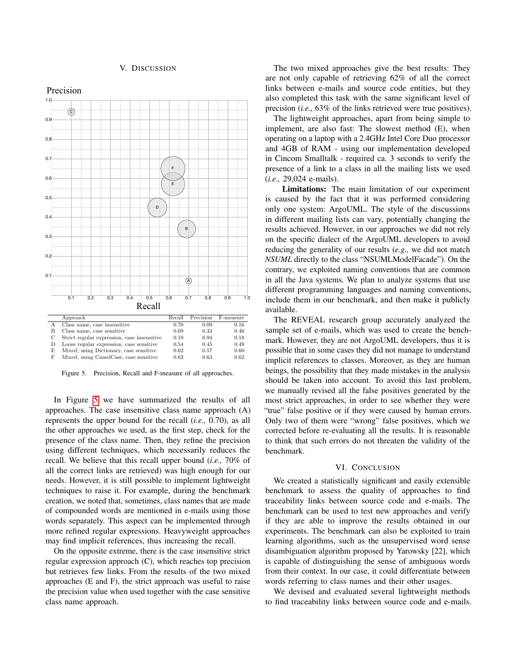<span id="page-8-0"></span>

<span id="page-8-2"></span>Figure 5. Precision, Recall and F-measure of all approaches.

In Figure [5](#page-8-2) we have summarized the results of all approaches. The case insensitive class name approach (A) represents the upper bound for the recall (*i.e.,* 0.70), as all the other approaches we used, as the first step, check for the presence of the class name. Then, they refine the precision using different techniques, which necessarily reduces the recall. We believe that this recall upper bound (*i.e.,* 70% of all the correct links are retrieved) was high enough for our needs. However, it is still possible to implement lightweight techniques to raise it. For example, during the benchmark creation, we noted that, sometimes, class names that are made of compounded words are mentioned in e-mails using those words separately. This aspect can be implemented through more refined regular expressions. Heavyweight approaches may find implicit references, thus increasing the recall.

On the opposite extreme, there is the case insensitive strict regular expression approach (C), which reaches top precision but retrieves few links. From the results of the two mixed approaches (E and F), the strict approach was useful to raise the precision value when used together with the case sensitive class name approach.

The two mixed approaches give the best results: They are not only capable of retrieving 62% of all the correct links between e-mails and source code entities, but they also completed this task with the same significant level of precision (*i.e.,* 63% of the links retrieved were true positives).

The lightweight approaches, apart from being simple to implement, are also fast: The slowest method (E), when operating on a laptop with a 2.4GHz Intel Core Duo processor and 4GB of RAM - using our implementation developed in Cincom Smalltalk - required ca. 3 seconds to verify the presence of a link to a class in all the mailing lists we used (*i.e.,* 29,024 e-mails).

Limitations: The main limitation of our experiment is caused by the fact that it was performed considering only one system: ArgoUML. The style of the discussions in different mailing lists can vary, potentially changing the results achieved. However, in our approaches we did not rely on the specific dialect of the ArgoUML developers to avoid reducing the generality of our results (*e.g.,* we did not match *NSUML* directly to the class "NSUMLModelFacade"). On the contrary, we exploited naming conventions that are common in all the Java systems. We plan to analyze systems that use different programming languages and naming conventions, include them in our benchmark, and then make it publicly available.

The REVEAL research group accurately analyzed the sample set of e-mails, which was used to create the benchmark. However, they are not ArgoUML developers, thus it is possible that in some cases they did not manage to understand implicit references to classes. Moreover, as they are human beings, the possibility that they made mistakes in the analysis should be taken into account. To avoid this last problem, we manually revised all the false positives generated by the most strict approaches, in order to see whether they were "true" false positive or if they were caused by human errors. Only two of them were "wrong" false positives, which we corrected before re-evaluating all the results. It is reasonable to think that such errors do not threaten the validity of the benchmark.

## VI. CONCLUSION

<span id="page-8-1"></span>We created a statistically significant and easily extensible benchmark to assess the quality of approaches to find traceability links between source code and e-mails. The benchmark can be used to test new approaches and verify if they are able to improve the results obtained in our experiments. The benchmark can also be exploited to train learning algorithms, such as the unsupervised word sense disambiguation algorithm proposed by Yarowsky [22], which is capable of distinguishing the sense of ambiguous words from their context. In our case, it could differentiate between words referring to class names and their other usages.

We devised and evaluated several lightweight methods to find traceability links between source code and e-mails.